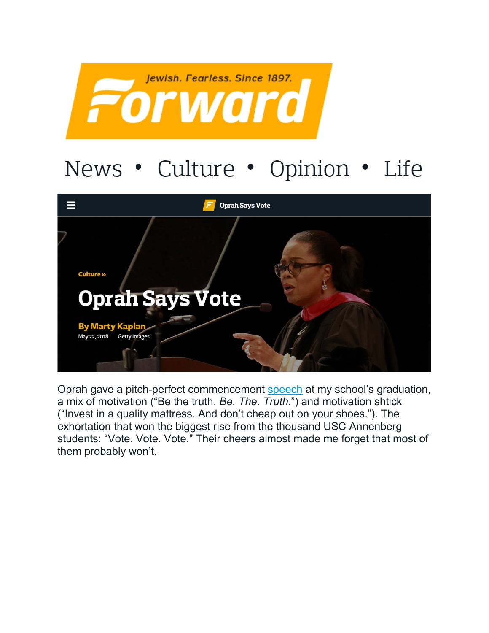

## News • Culture • Opinion • Life



Oprah gave a pitch-perfect commencement [speech](https://youtu.be/2Ok_KYFWuKs) at my school's graduation, a mix of motivation ("Be the truth. *Be. The. Truth.*") and motivation shtick ("Invest in a quality mattress. And don't cheap out on your shoes."). The exhortation that won the biggest rise from the thousand USC Annenberg students: "Vote. Vote. Vote." Their cheers almost made me forget that most of them probably won't.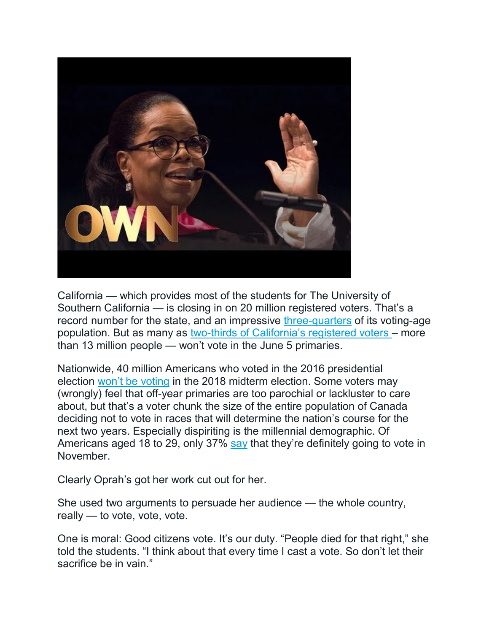

California — which provides most of the students for The University of Southern California — is closing in on 20 million registered voters. That's a record number for the state, and an impressive [three-quarters](http://www.ppic.org/publication/californias-likely-voters/) of its voting-age population. But as many as [two-thirds of California's registered voters](http://www.latimes.com/politics/la-pol-ca-road-map-voter-turnout-primary-20180513-story.html) – more than 13 million people — won't vote in the June 5 primaries.

Nationwide, 40 million Americans who voted in the 2016 presidential election [won't be voting](http://data.voterparticipation.org/wp-content/uploads/2017/07/Report.VPC_.Drop-Off.fi_.2017.06.29.pdf) in the 2018 midterm election. Some voters may (wrongly) feel that off-year primaries are too parochial or lackluster to care about, but that's a voter chunk the size of the entire population of Canada deciding not to vote in races that will determine the nation's course for the next two years. Especially dispiriting is the millennial demographic. Of Americans aged 18 to 29, only 37% [say](https://www.thecrimson.com/article/2018/4/11/iop-poll-spring-2018/) that they're definitely going to vote in November.

Clearly Oprah's got her work cut out for her.

She used two arguments to persuade her audience — the whole country, really — to vote, vote, vote.

One is moral: Good citizens vote. It's our duty. "People died for that right," she told the students. "I think about that every time I cast a vote. So don't let their sacrifice be in vain."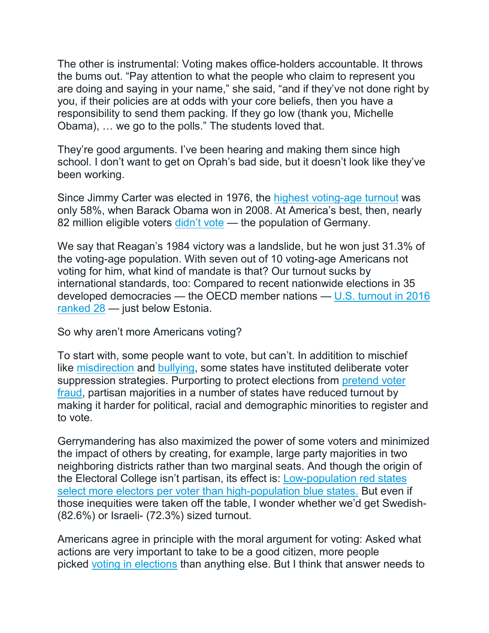The other is instrumental: Voting makes office-holders accountable. It throws the bums out. "Pay attention to what the people who claim to represent you are doing and saying in your name," she said, "and if they've not done right by you, if their policies are at odds with your core beliefs, then you have a responsibility to send them packing. If they go low (thank you, Michelle Obama), … we go to the polls." The students loved that.

They're good arguments. I've been hearing and making them since high school. I don't want to get on Oprah's bad side, but it doesn't look like they've been working.

Since Jimmy Carter was elected in 1976, the [highest voting-age turnout](http://www.pewresearch.org/fact-tank/2017/05/15/u-s-voter-turnout-trails-most-developed-countries/) was only 58%, when Barack Obama won in 2008. At America's best, then, nearly 82 million eligible voters [didn't vote](https://www.factcheck.org/2009/01/2008-voter-turnout/) — the population of Germany.

We say that Reagan's 1984 victory was a landslide, but he won just 31.3% of the voting-age population. With seven out of 10 voting-age Americans not voting for him, what kind of mandate is that? Our turnout sucks by international standards, too: Compared to recent nationwide elections in 35 developed democracies — the OECD member nations — [U.S. turnout in 2016](http://www.pewresearch.org/fact-tank/2018/05/21/u-s-voter-turnout-trails-most-developed-countries/)  [ranked 28](http://www.pewresearch.org/fact-tank/2018/05/21/u-s-voter-turnout-trails-most-developed-countries/) — just below Estonia.

So why aren't more Americans voting?

To start with, some people want to vote, but can't. In additition to mischief like [misdirection](https://mashable.com/2016/11/07/texts-indiana-voters-wrong-polling-stations/) and [bullying,](http://www.demos.org/publication/bullies-ballot-box-protecting-freedom-vote-against-wrongful-challenges-and-intimidation) some states have instituted deliberate voter suppression strategies. Purporting to protect elections from [pretend voter](https://www.brennancenter.org/issues/voter-fraud)  [fraud,](https://www.brennancenter.org/issues/voter-fraud) partisan majorities in a number of states have reduced turnout by making it harder for political, racial and demographic minorities to register and to vote.

Gerrymandering has also maximized the power of some voters and minimized the impact of others by creating, for example, large party majorities in two neighboring districts rather than two marginal seats. And though the origin of the Electoral College isn't partisan, its effect is: [Low-population red states](http://www.slate.com/articles/news_and_politics/map_of_the_week/2012/11/presidential_election_a_map_showing_the_vote_power_of_all_50_states.html)  [select more electors per voter than high-population blue states.](http://www.slate.com/articles/news_and_politics/map_of_the_week/2012/11/presidential_election_a_map_showing_the_vote_power_of_all_50_states.html) But even if those inequities were taken off the table, I wonder whether we'd get Swedish- (82.6%) or Israeli- (72.3%) sized turnout.

Americans agree in principle with the moral argument for voting: Asked what actions are very important to take to be a good citizen, more people picked [voting in elections](http://www.people-press.org/2018/04/26/9-the-responsibilities-of-citizenship/) than anything else. But I think that answer needs to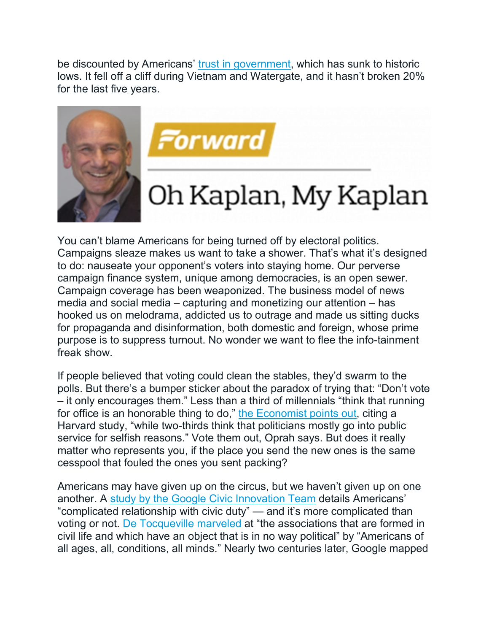be discounted by Americans' [trust in government,](http://www.people-press.org/2017/12/14/public-trust-in-government-1958-2017/) which has sunk to historic lows. It fell off a cliff during Vietnam and Watergate, and it hasn't broken 20% for the last five years.





## Oh Kaplan, My Kaplan

You can't blame Americans for being turned off by electoral politics. Campaigns sleaze makes us want to take a shower. That's what it's designed to do: nauseate your opponent's voters into staying home. Our perverse campaign finance system, unique among democracies, is an open sewer. Campaign coverage has been weaponized. The business model of news media and social media – capturing and monetizing our attention – has hooked us on melodrama, addicted us to outrage and made us sitting ducks for propaganda and disinformation, both domestic and foreign, whose prime purpose is to suppress turnout. No wonder we want to flee the info-tainment freak show.

If people believed that voting could clean the stables, they'd swarm to the polls. But there's a bumper sticker about the paradox of trying that: "Don't vote – it only encourages them." Less than a third of millennials "think that running for office is an honorable thing to do," [the Economist points out,](https://www.economist.com/united-states/2014/10/16/lets-set-the-world-on-fire) citing a Harvard study, "while two-thirds think that politicians mostly go into public service for selfish reasons." Vote them out, Oprah says. But does it really matter who represents you, if the place you send the new ones is the same cesspool that fouled the ones you sent packing?

Americans may have given up on the circus, but we haven't given up on one another. A [study by the Google Civic Innovation Team](https://ai.google/research/pubs/pub44180) details Americans' "complicated relationship with civic duty" — and it's more complicated than voting or not. [De Tocqueville marveled](http://www.press.uchicago.edu/Misc/Chicago/805328.html) at "the associations that are formed in civil life and which have an object that is in no way political" by "Americans of all ages, all, conditions, all minds." Nearly two centuries later, Google mapped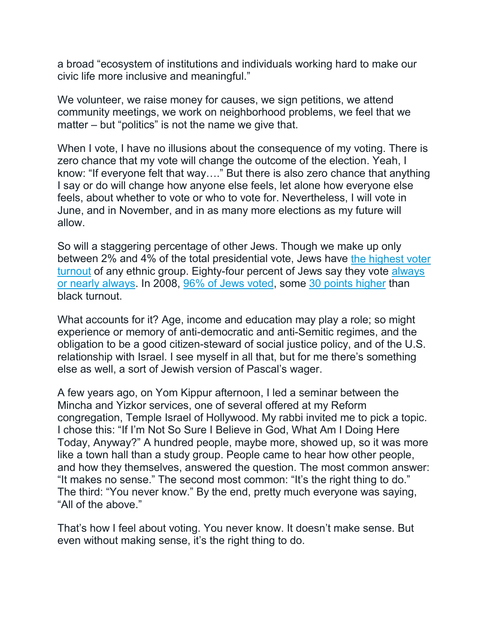a broad "ecosystem of institutions and individuals working hard to make our civic life more inclusive and meaningful."

We volunteer, we raise money for causes, we sign petitions, we attend community meetings, we work on neighborhood problems, we feel that we matter – but "politics" is not the name we give that.

When I vote, I have no illusions about the consequence of my voting. There is zero chance that my vote will change the outcome of the election. Yeah, I know: "If everyone felt that way…." But there is also zero chance that anything I say or do will change how anyone else feels, let alone how everyone else feels, about whether to vote or who to vote for. Nevertheless, I will vote in June, and in November, and in as many more elections as my future will allow.

So will a staggering percentage of other Jews. Though we make up only between 2% and 4% of the total presidential vote, Jews have [the highest voter](http://www.jewishvirtuallibrary.org/the-pro-israel-and-pro-arab-lobbies)  [turnout](http://www.jewishvirtuallibrary.org/the-pro-israel-and-pro-arab-lobbies) of any ethnic group. Eighty-four percent of Jews say they vote [always](http://www.jewishvirtuallibrary.org/jsource/US-Israel/jewturnout.pdf)  [or nearly always.](http://www.jewishvirtuallibrary.org/jsource/US-Israel/jewturnout.pdf) In 2008, [96% of Jews voted,](https://www.reuters.com/article/us-usa-campaign-jewish-vote-numbers-idUSBRE86N05Z20120724) some [30 points higher](https://www.washingtonpost.com/news/the-fix/wp/2013/04/29/black-turnout-was-higher-than-white-turnout-in-2012-and-2008/?utm_term=.751e98992907) than black turnout.

What accounts for it? Age, income and education may play a role; so might experience or memory of anti-democratic and anti-Semitic regimes, and the obligation to be a good citizen-steward of social justice policy, and of the U.S. relationship with Israel. I see myself in all that, but for me there's something else as well, a sort of Jewish version of Pascal's wager.

A few years ago, on Yom Kippur afternoon, I led a seminar between the Mincha and Yizkor services, one of several offered at my Reform congregation, Temple Israel of Hollywood. My rabbi invited me to pick a topic. I chose this: "If I'm Not So Sure I Believe in God, What Am I Doing Here Today, Anyway?" A hundred people, maybe more, showed up, so it was more like a town hall than a study group. People came to hear how other people, and how they themselves, answered the question. The most common answer: "It makes no sense." The second most common: "It's the right thing to do." The third: "You never know." By the end, pretty much everyone was saying, "All of the above."

That's how I feel about voting. You never know. It doesn't make sense. But even without making sense, it's the right thing to do.